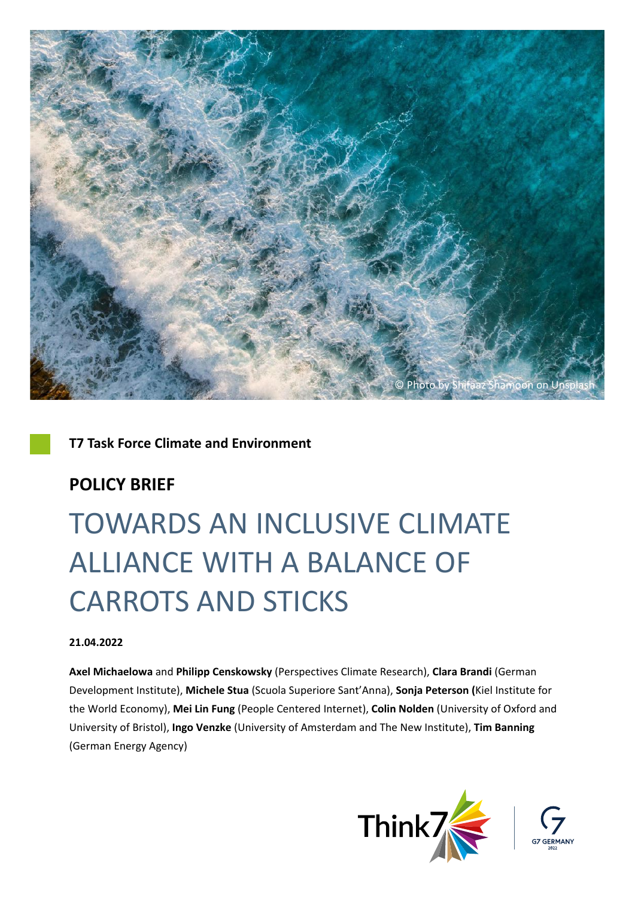

## **T7 Task Force Climate and Environment**

## **POLICY BRIEF**

# TOWARDS AN INCLUSIVE CLIMATE ALLIANCE WITH A BALANCE OF CARROTS AND STICKS

### **21.04.2022**

**Axel Michaelowa** and **Philipp Censkowsky** (Perspectives Climate Research), **Clara Brandi** (German Development Institute), **Michele Stua** (Scuola Superiore Sant'Anna), **Sonja Peterson (**Kiel Institute for the World Economy), **Mei Lin Fung** (People Centered Internet), **Colin Nolden** (University of Oxford and University of Bristol), **Ingo Venzke** (University of Amsterdam and The New Institute), **Tim Banning** (German Energy Agency)

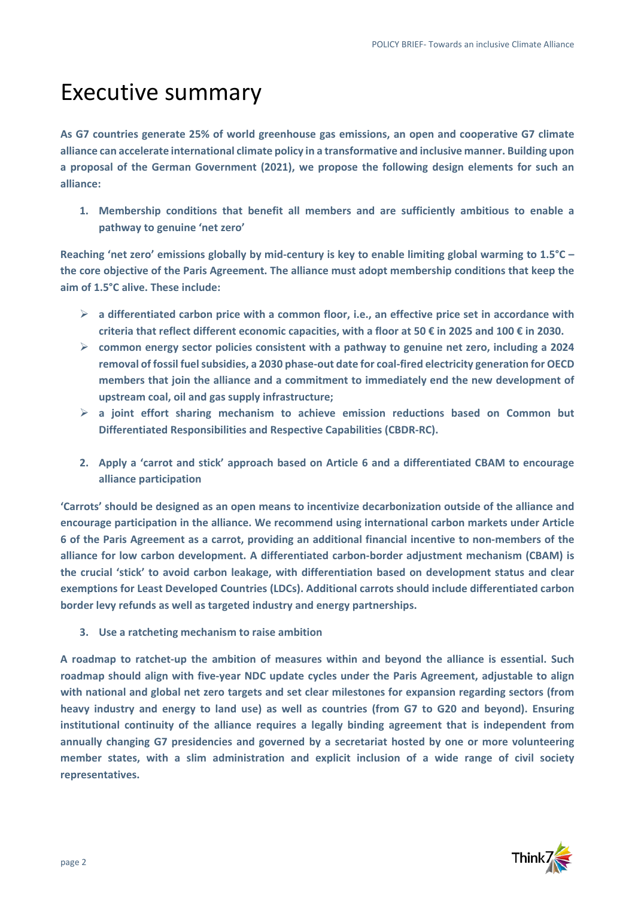## Executive summary

**As G7 countries generate 25% of world greenhouse gas emissions, an open and cooperative G7 climate alliance can accelerate international climate policy in a transformative and inclusive manner. Building upon a proposal of the German Government (2021), we propose the following design elements for such an alliance:**

**1. Membership conditions that benefit all members and are sufficiently ambitious to enable a pathway to genuine 'net zero'**

**Reaching 'net zero' emissions globally by mid-century is key to enable limiting global warming to 1.5°C – the core objective of the Paris Agreement. The alliance must adopt membership conditions that keep the aim of 1.5°C alive. These include:**

- **a differentiated carbon price with a common floor, i.e., an effective price set in accordance with criteria that reflect different economic capacities, with a floor at 50 € in 2025 and 100 € in 2030.**
- **common energy sector policies consistent with a pathway to genuine net zero, including a 2024 removal of fossil fuel subsidies, a 2030 phase-out date for coal-fired electricity generation for OECD members that join the alliance and a commitment to immediately end the new development of upstream coal, oil and gas supply infrastructure;**
- **a joint effort sharing mechanism to achieve emission reductions based on Common but Differentiated Responsibilities and Respective Capabilities (CBDR-RC).**
- **2. Apply a 'carrot and stick' approach based on Article 6 and a differentiated CBAM to encourage alliance participation**

**'Carrots' should be designed as an open means to incentivize decarbonization outside of the alliance and encourage participation in the alliance. We recommend using international carbon markets under Article 6 of the Paris Agreement as a carrot, providing an additional financial incentive to non-members of the alliance for low carbon development. A differentiated carbon-border adjustment mechanism (CBAM) is the crucial 'stick' to avoid carbon leakage, with differentiation based on development status and clear exemptions for Least Developed Countries (LDCs). Additional carrots should include differentiated carbon border levy refunds as well as targeted industry and energy partnerships.**

**3. Use a ratcheting mechanism to raise ambition**

**A roadmap to ratchet-up the ambition of measures within and beyond the alliance is essential. Such roadmap should align with five-year NDC update cycles under the Paris Agreement, adjustable to align with national and global net zero targets and set clear milestones for expansion regarding sectors (from heavy industry and energy to land use) as well as countries (from G7 to G20 and beyond). Ensuring institutional continuity of the alliance requires a legally binding agreement that is independent from annually changing G7 presidencies and governed by a secretariat hosted by one or more volunteering member states, with a slim administration and explicit inclusion of a wide range of civil society representatives.** 

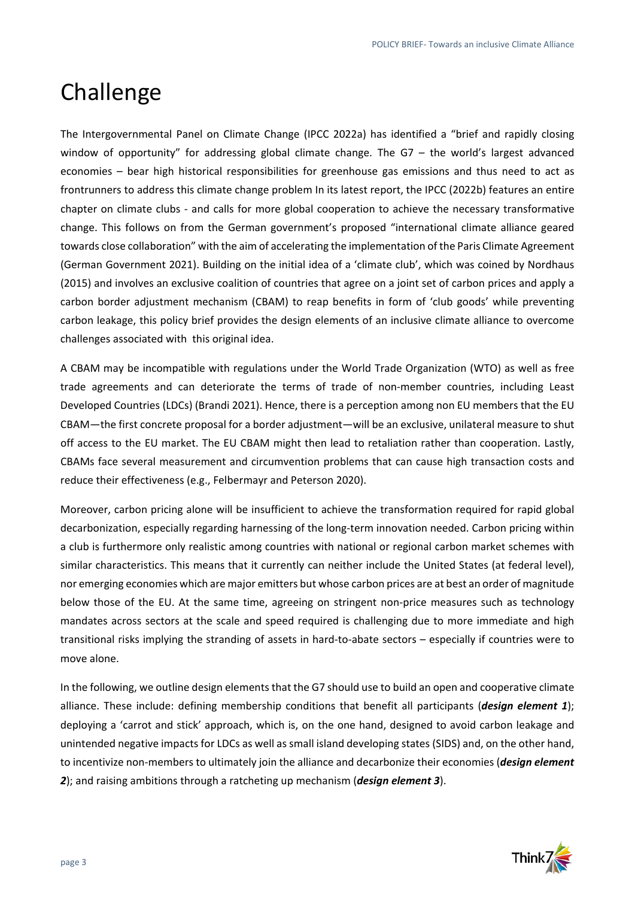## Challenge

The Intergovernmental Panel on Climate Change (IPCC 2022a) has identified a "brief and rapidly closing window of opportunity" for addressing global climate change. The G7 – the world's largest advanced economies – bear high historical responsibilities for greenhouse gas emissions and thus need to act as frontrunners to address this climate change problem In its latest report, the IPCC (2022b) features an entire chapter on climate clubs - and calls for more global cooperation to achieve the necessary transformative change. This follows on from the German government's proposed "international climate alliance geared towards close collaboration" with the aim of accelerating the implementation of the Paris Climate Agreement (German Government 2021). Building on the initial idea of a 'climate club', which was coined by Nordhaus (2015) and involves an exclusive coalition of countries that agree on a joint set of carbon prices and apply a carbon border adjustment mechanism (CBAM) to reap benefits in form of 'club goods' while preventing carbon leakage, this policy brief provides the design elements of an inclusive climate alliance to overcome challenges associated with this original idea.

A CBAM may be incompatible with regulations under the World Trade Organization (WTO) as well as free trade agreements and can deteriorate the terms of trade of non-member countries, including Least Developed Countries (LDCs) (Brandi 2021). Hence, there is a perception among non EU members that the EU CBAM—the first concrete proposal for a border adjustment—will be an exclusive, unilateral measure to shut off access to the EU market. The EU CBAM might then lead to retaliation rather than cooperation. Lastly, CBAMs face several measurement and circumvention problems that can cause high transaction costs and reduce their effectiveness (e.g., Felbermayr and Peterson 2020).

Moreover, carbon pricing alone will be insufficient to achieve the transformation required for rapid global decarbonization, especially regarding harnessing of the long-term innovation needed. Carbon pricing within a club is furthermore only realistic among countries with national or regional carbon market schemes with similar characteristics. This means that it currently can neither include the United States (at federal level), nor emerging economies which are major emitters but whose carbon prices are at best an order of magnitude below those of the EU. At the same time, agreeing on stringent non-price measures such as technology mandates across sectors at the scale and speed required is challenging due to more immediate and high transitional risks implying the stranding of assets in hard-to-abate sectors – especially if countries were to move alone.

In the following, we outline design elements that the G7 should use to build an open and cooperative climate alliance. These include: defining membership conditions that benefit all participants (*design element 1*); deploying a 'carrot and stick' approach, which is, on the one hand, designed to avoid carbon leakage and unintended negative impacts for LDCs as well as small island developing states (SIDS) and, on the other hand, to incentivize non-members to ultimately join the alliance and decarbonize their economies (*design element 2*); and raising ambitions through a ratcheting up mechanism (*design element 3*).

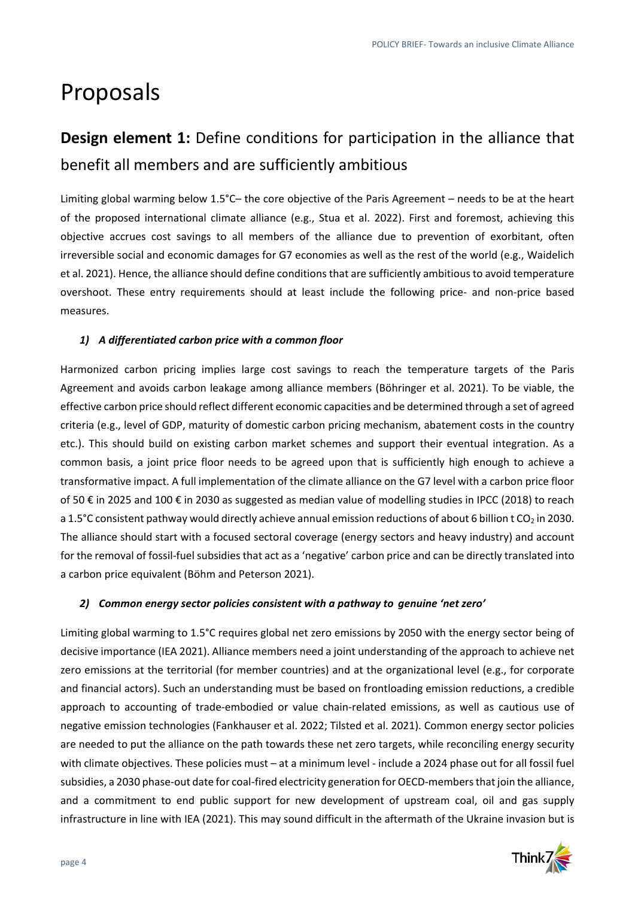## Proposals

## **Design element 1:** Define conditions for participation in the alliance that benefit all members and are sufficiently ambitious

Limiting global warming below 1.5°C– the core objective of the Paris Agreement – needs to be at the heart of the proposed international climate alliance (e.g., Stua et al. 2022). First and foremost, achieving this objective accrues cost savings to all members of the alliance due to prevention of exorbitant, often irreversible social and economic damages for G7 economies as well as the rest of the world (e.g., Waidelich et al. 2021). Hence, the alliance should define conditions that are sufficiently ambitious to avoid temperature overshoot. These entry requirements should at least include the following price- and non-price based measures.

### *1) A differentiated carbon price with a common floor*

Harmonized carbon pricing implies large cost savings to reach the temperature targets of the Paris Agreement and avoids carbon leakage among alliance members (Böhringer et al. 2021). To be viable, the effective carbon price should reflect different economic capacities and be determined through a set of agreed criteria (e.g., level of GDP, maturity of domestic carbon pricing mechanism, abatement costs in the country etc.). This should build on existing carbon market schemes and support their eventual integration. As a common basis, a joint price floor needs to be agreed upon that is sufficiently high enough to achieve a transformative impact. A full implementation of the climate alliance on the G7 level with a carbon price floor of 50 € in 2025 and 100 € in 2030 as suggested as median value of modelling studies in IPCC (2018) to reach a 1.5°C consistent pathway would directly achieve annual emission reductions of about 6 billion t CO<sub>2</sub> in 2030. The alliance should start with a focused sectoral coverage (energy sectors and heavy industry) and account for the removal of fossil-fuel subsidies that act as a 'negative' carbon price and can be directly translated into a carbon price equivalent (Böhm and Peterson 2021).

### *2) Common energy sector policies consistent with a pathway to genuine 'net zero'*

Limiting global warming to 1.5°C requires global net zero emissions by 2050 with the energy sector being of decisive importance (IEA 2021). Alliance members need a joint understanding of the approach to achieve net zero emissions at the territorial (for member countries) and at the organizational level (e.g., for corporate and financial actors). Such an understanding must be based on frontloading emission reductions, a credible approach to accounting of trade-embodied or value chain-related emissions, as well as cautious use of negative emission technologies (Fankhauser et al. 2022; Tilsted et al. 2021). Common energy sector policies are needed to put the alliance on the path towards these net zero targets, while reconciling energy security with climate objectives. These policies must – at a minimum level - include a 2024 phase out for all fossil fuel subsidies, a 2030 phase-out date for coal-fired electricity generation for OECD-members that join the alliance, and a commitment to end public support for new development of upstream coal, oil and gas supply infrastructure in line with IEA (2021). This may sound difficult in the aftermath of the Ukraine invasion but is

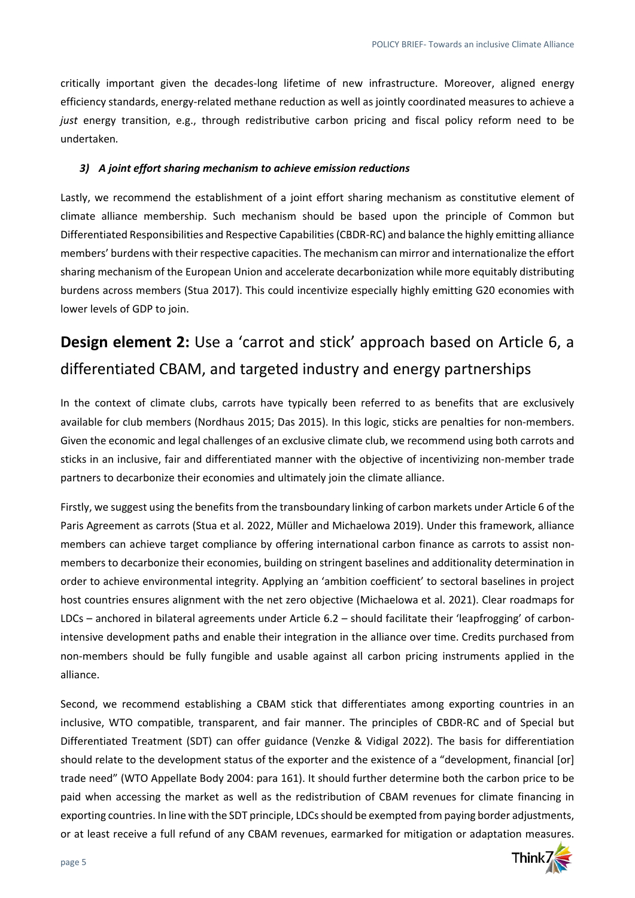critically important given the decades-long lifetime of new infrastructure. Moreover, aligned energy efficiency standards, energy-related methane reduction as well as jointly coordinated measures to achieve a *just* energy transition, e.g., through redistributive carbon pricing and fiscal policy reform need to be undertaken*.*

### *3) A joint effort sharing mechanism to achieve emission reductions*

Lastly, we recommend the establishment of a joint effort sharing mechanism as constitutive element of climate alliance membership. Such mechanism should be based upon the principle of Common but Differentiated Responsibilities and Respective Capabilities (CBDR-RC) and balance the highly emitting alliance members' burdens with their respective capacities. The mechanism can mirror and internationalize the effort sharing mechanism of the European Union and accelerate decarbonization while more equitably distributing burdens across members (Stua 2017). This could incentivize especially highly emitting G20 economies with lower levels of GDP to join.

## **Design element 2:** Use a 'carrot and stick' approach based on Article 6, a differentiated CBAM, and targeted industry and energy partnerships

In the context of climate clubs, carrots have typically been referred to as benefits that are exclusively available for club members (Nordhaus 2015; Das 2015). In this logic, sticks are penalties for non-members. Given the economic and legal challenges of an exclusive climate club, we recommend using both carrots and sticks in an inclusive, fair and differentiated manner with the objective of incentivizing non-member trade partners to decarbonize their economies and ultimately join the climate alliance.

Firstly, we suggest using the benefits from the transboundary linking of carbon markets under Article 6 of the Paris Agreement as carrots (Stua et al. 2022, Müller and Michaelowa 2019). Under this framework, alliance members can achieve target compliance by offering international carbon finance as carrots to assist nonmembers to decarbonize their economies, building on stringent baselines and additionality determination in order to achieve environmental integrity. Applying an 'ambition coefficient' to sectoral baselines in project host countries ensures alignment with the net zero objective (Michaelowa et al. 2021). Clear roadmaps for LDCs – anchored in bilateral agreements under Article 6.2 – should facilitate their 'leapfrogging' of carbonintensive development paths and enable their integration in the alliance over time. Credits purchased from non-members should be fully fungible and usable against all carbon pricing instruments applied in the alliance.

Second, we recommend establishing a CBAM stick that differentiates among exporting countries in an inclusive, WTO compatible, transparent, and fair manner. The principles of CBDR-RC and of Special but Differentiated Treatment (SDT) can offer guidance (Venzke & Vidigal 2022). The basis for differentiation should relate to the development status of the exporter and the existence of a "development, financial [or] trade need" (WTO Appellate Body 2004: para 161). It should further determine both the carbon price to be paid when accessing the market as well as the redistribution of CBAM revenues for climate financing in exporting countries. In line with the SDT principle, LDCs should be exempted from paying border adjustments, or at least receive a full refund of any CBAM revenues, earmarked for mitigation or adaptation measures.

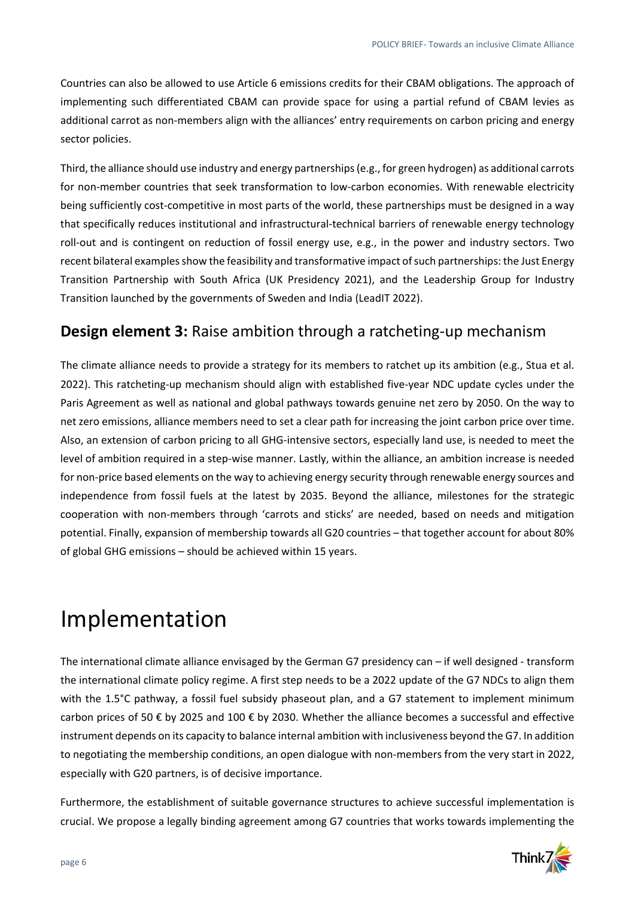Countries can also be allowed to use Article 6 emissions credits for their CBAM obligations. The approach of implementing such differentiated CBAM can provide space for using a partial refund of CBAM levies as additional carrot as non-members align with the alliances' entry requirements on carbon pricing and energy sector policies.

Third, the alliance should use industry and energy partnerships(e.g., for green hydrogen) as additional carrots for non-member countries that seek transformation to low-carbon economies. With renewable electricity being sufficiently cost-competitive in most parts of the world, these partnerships must be designed in a way that specifically reduces institutional and infrastructural-technical barriers of renewable energy technology roll-out and is contingent on reduction of fossil energy use, e.g., in the power and industry sectors. Two recent bilateral examples show the feasibility and transformative impact of such partnerships: the Just Energy Transition Partnership with South Africa (UK Presidency 2021), and the Leadership Group for Industry Transition launched by the governments of Sweden and India (LeadIT 2022).

## **Design element 3:** Raise ambition through a ratcheting-up mechanism

The climate alliance needs to provide a strategy for its members to ratchet up its ambition (e.g., Stua et al. 2022). This ratcheting-up mechanism should align with established five-year NDC update cycles under the Paris Agreement as well as national and global pathways towards genuine net zero by 2050. On the way to net zero emissions, alliance members need to set a clear path for increasing the joint carbon price over time. Also, an extension of carbon pricing to all GHG-intensive sectors, especially land use, is needed to meet the level of ambition required in a step-wise manner. Lastly, within the alliance, an ambition increase is needed for non-price based elements on the way to achieving energy security through renewable energy sources and independence from fossil fuels at the latest by 2035. Beyond the alliance, milestones for the strategic cooperation with non-members through 'carrots and sticks' are needed, based on needs and mitigation potential. Finally, expansion of membership towards all G20 countries – that together account for about 80% of global GHG emissions – should be achieved within 15 years.

## Implementation

The international climate alliance envisaged by the German G7 presidency can – if well designed - transform the international climate policy regime. A first step needs to be a 2022 update of the G7 NDCs to align them with the 1.5°C pathway, a fossil fuel subsidy phaseout plan, and a G7 statement to implement minimum carbon prices of 50 € by 2025 and 100 € by 2030. Whether the alliance becomes a successful and effective instrument depends on its capacity to balance internal ambition with inclusiveness beyond the G7. In addition to negotiating the membership conditions, an open dialogue with non-members from the very start in 2022, especially with G20 partners, is of decisive importance.

Furthermore, the establishment of suitable governance structures to achieve successful implementation is crucial. We propose a legally binding agreement among G7 countries that works towards implementing the

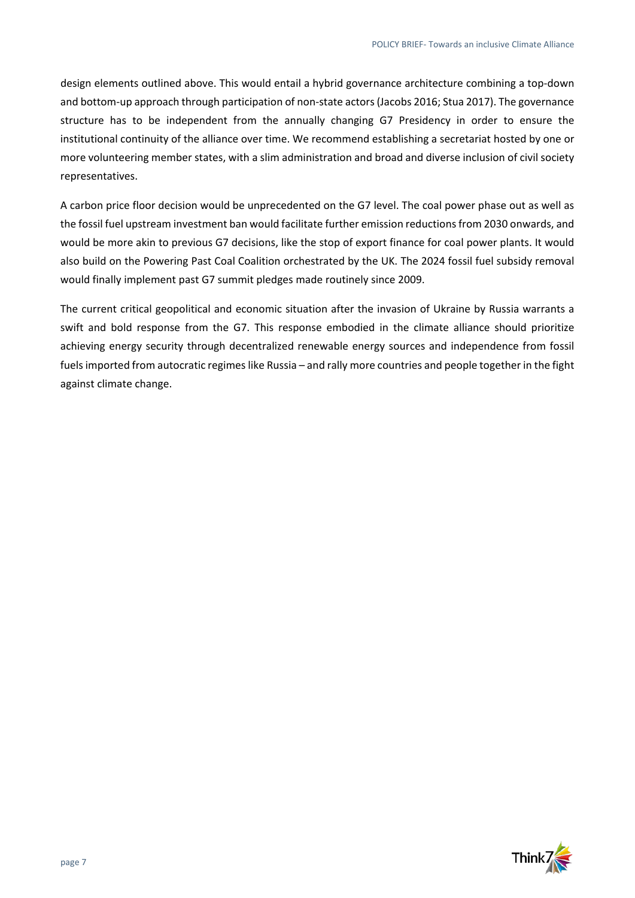design elements outlined above. This would entail a hybrid governance architecture combining a top-down and bottom-up approach through participation of non-state actors (Jacobs 2016; Stua 2017). The governance structure has to be independent from the annually changing G7 Presidency in order to ensure the institutional continuity of the alliance over time. We recommend establishing a secretariat hosted by one or more volunteering member states, with a slim administration and broad and diverse inclusion of civil society representatives.

A carbon price floor decision would be unprecedented on the G7 level. The coal power phase out as well as the fossil fuel upstream investment ban would facilitate further emission reductions from 2030 onwards, and would be more akin to previous G7 decisions, like the stop of export finance for coal power plants. It would also build on the Powering Past Coal Coalition orchestrated by the UK. The 2024 fossil fuel subsidy removal would finally implement past G7 summit pledges made routinely since 2009.

The current critical geopolitical and economic situation after the invasion of Ukraine by Russia warrants a swift and bold response from the G7. This response embodied in the climate alliance should prioritize achieving energy security through decentralized renewable energy sources and independence from fossil fuelsimported from autocratic regimes like Russia – and rally more countries and people together in the fight against climate change.

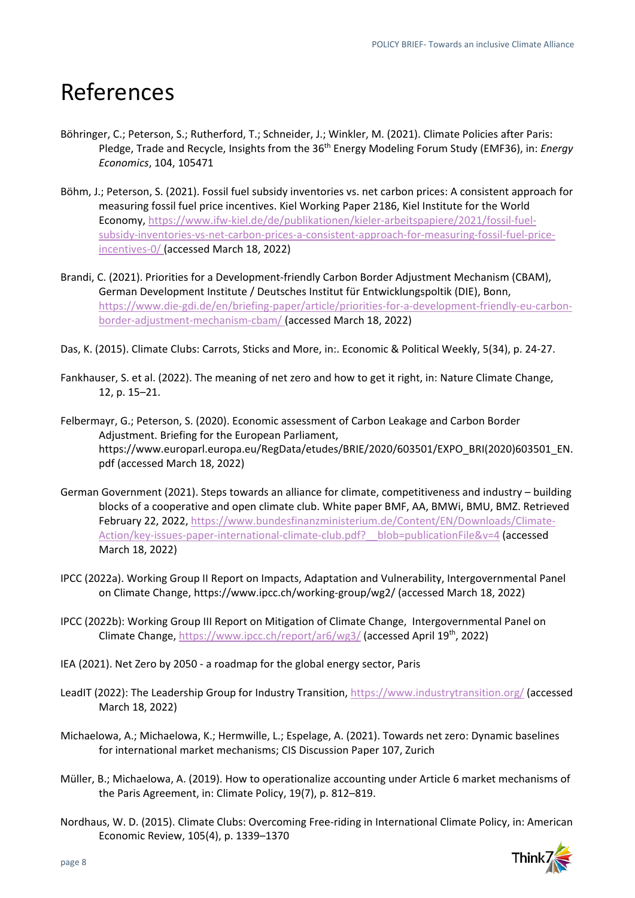## References

- Böhringer, C.; Peterson, S.; Rutherford, T.; Schneider, J.; Winkler, M. (2021). Climate Policies after Paris: Pledge, Trade and Recycle, Insights from the 36th Energy Modeling Forum Study (EMF36), in: *Energy Economics*, 104, 105471
- Böhm, J.; Peterson, S. (2021). Fossil fuel subsidy inventories vs. net carbon prices: A consistent approach for measuring fossil fuel price incentives. Kiel Working Paper 2186, Kiel Institute for the World Economy, [https://www.ifw-kiel.de/de/publikationen/kieler-arbeitspapiere/2021/fossil-fuel](https://www.ifw-kiel.de/de/publikationen/kieler-arbeitspapiere/2021/fossil-fuel-subsidy-inventories-vs-net-carbon-prices-a-consistent-approach-for-measuring-fossil-fuel-price-incentives-0/)[subsidy-inventories-vs-net-carbon-prices-a-consistent-approach-for-measuring-fossil-fuel-price](https://www.ifw-kiel.de/de/publikationen/kieler-arbeitspapiere/2021/fossil-fuel-subsidy-inventories-vs-net-carbon-prices-a-consistent-approach-for-measuring-fossil-fuel-price-incentives-0/)[incentives-0/](https://www.ifw-kiel.de/de/publikationen/kieler-arbeitspapiere/2021/fossil-fuel-subsidy-inventories-vs-net-carbon-prices-a-consistent-approach-for-measuring-fossil-fuel-price-incentives-0/) (accessed March 18, 2022)
- Brandi, C. (2021). Priorities for a Development-friendly Carbon Border Adjustment Mechanism (CBAM), German Development Institute / Deutsches Institut für Entwicklungspoltik (DIE), Bonn, [https://www.die-gdi.de/en/briefing-paper/article/priorities-for-a-development-friendly-eu-carbon](https://www.die-gdi.de/en/briefing-paper/article/priorities-for-a-development-friendly-eu-carbon-border-adjustment-mechanism-cbam/)[border-adjustment-mechanism-cbam/](https://www.die-gdi.de/en/briefing-paper/article/priorities-for-a-development-friendly-eu-carbon-border-adjustment-mechanism-cbam/) (accessed March 18, 2022)
- Das, K. (2015). Climate Clubs: Carrots, Sticks and More, in:. Economic & Political Weekly, 5(34), p. 24-27.
- Fankhauser, S. et al. (2022). The meaning of net zero and how to get it right, in: Nature Climate Change, 12, p. 15–21.
- Felbermayr, G.; Peterson, S. (2020). Economic assessment of Carbon Leakage and Carbon Border Adjustment. Briefing for the European Parliament, [https://www.europarl.europa.eu/RegData/etudes/BRIE/2020/603501/EXPO\\_BRI\(2020\)603501\\_EN.](https://www.europarl.europa.eu/RegData/etudes/BRIE/2020/603501/EXPO_BRI(2020)603501_EN.pdf) [pdf](https://www.europarl.europa.eu/RegData/etudes/BRIE/2020/603501/EXPO_BRI(2020)603501_EN.pdf) (accessed March 18, 2022)
- German Government (2021). Steps towards an alliance for climate, competitiveness and industry building blocks of a cooperative and open climate club. White paper BMF, AA, BMWi, BMU, BMZ. Retrieved February 22, 2022, [https://www.bundesfinanzministerium.de/Content/EN/Downloads/Climate-](https://www.bundesfinanzministerium.de/Content/EN/Downloads/Climate-Action/key-issues-paper-international-climate-club.pdf?__blob=publicationFile&v=4)[Action/key-issues-paper-international-climate-club.pdf?\\_\\_blob=publicationFile&v=4](https://www.bundesfinanzministerium.de/Content/EN/Downloads/Climate-Action/key-issues-paper-international-climate-club.pdf?__blob=publicationFile&v=4) (accessed March 18, 2022)
- IPCC (2022a). Working Group II Report on Impacts, Adaptation and Vulnerability, Intergovernmental Panel on Climate Change, <https://www.ipcc.ch/working-group/wg2/> (accessed March 18, 2022)
- IPCC (2022b): Working Group III Report on Mitigation of Climate Change, Intergovernmental Panel on Climate Change,<https://www.ipcc.ch/report/ar6/wg3/> (accessed April 19th, 2022)
- IEA (2021). Net Zero by 2050 a roadmap for the global energy sector, Paris
- LeadIT (2022): The Leadership Group for Industry Transition,<https://www.industrytransition.org/> (accessed March 18, 2022)
- Michaelowa, A.; Michaelowa, K.; Hermwille, L.; Espelage, A. (2021). Towards net zero: Dynamic baselines for international market mechanisms; CIS Discussion Paper 107, Zurich
- Müller, B.; Michaelowa, A. (2019). How to operationalize accounting under Article 6 market mechanisms of the Paris Agreement, in: Climate Policy, 19(7), p. 812–819.
- Nordhaus, W. D. (2015). Climate Clubs: Overcoming Free-riding in International Climate Policy, in: American Economic Review, 105(4), p. 1339–1370

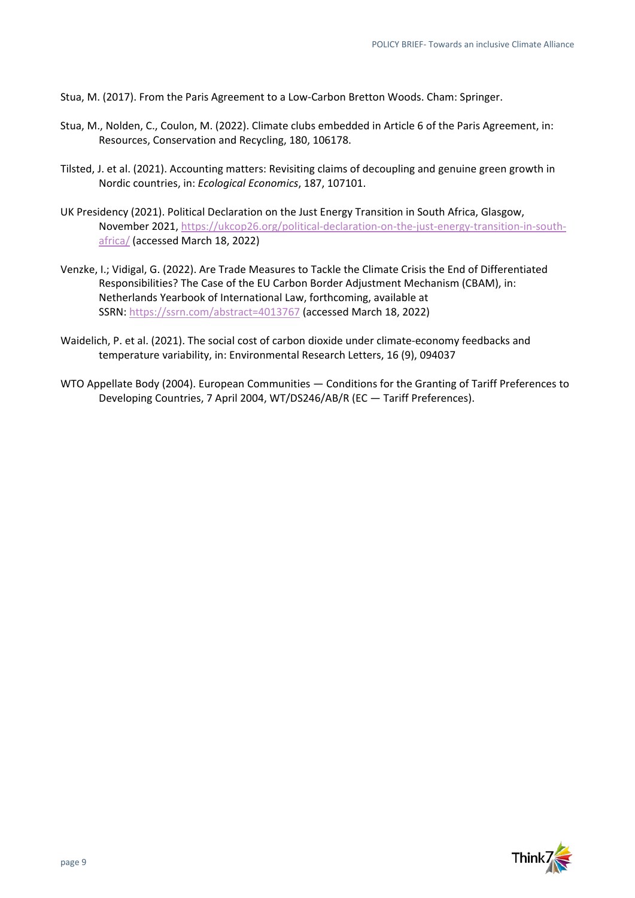Stua, M. (2017). From the Paris Agreement to a Low-Carbon Bretton Woods. Cham: Springer.

- Stua, M., Nolden, C., Coulon, M. (2022). Climate clubs embedded in Article 6 of the Paris Agreement, in: Resources, Conservation and Recycling, 180, 106178.
- Tilsted, J. et al. (2021). Accounting matters: Revisiting claims of decoupling and genuine green growth in Nordic countries, in: *Ecological Economics*, 187, 107101.
- UK Presidency (2021). Political Declaration on the Just Energy Transition in South Africa, Glasgow, November 2021, [https://ukcop26.org/political-declaration-on-the-just-energy-transition-in-south](https://ukcop26.org/political-declaration-on-the-just-energy-transition-in-south-africa/)[africa/](https://ukcop26.org/political-declaration-on-the-just-energy-transition-in-south-africa/) (accessed March 18, 2022)
- Venzke, I.; Vidigal, G. (2022). Are Trade Measures to Tackle the Climate Crisis the End of Differentiated Responsibilities? The Case of the EU Carbon Border Adjustment Mechanism (CBAM), in: Netherlands Yearbook of International Law, forthcoming, available at SSRN: <https://ssrn.com/abstract=4013767> (accessed March 18, 2022)
- Waidelich, P. et al. (2021). The social cost of carbon dioxide under climate-economy feedbacks and temperature variability, in: Environmental Research Letters, 16 (9), 094037
- WTO Appellate Body (2004). European Communities Conditions for the Granting of Tariff Preferences to Developing Countries, 7 April 2004, WT/DS246/AB/R (EC — Tariff Preferences).

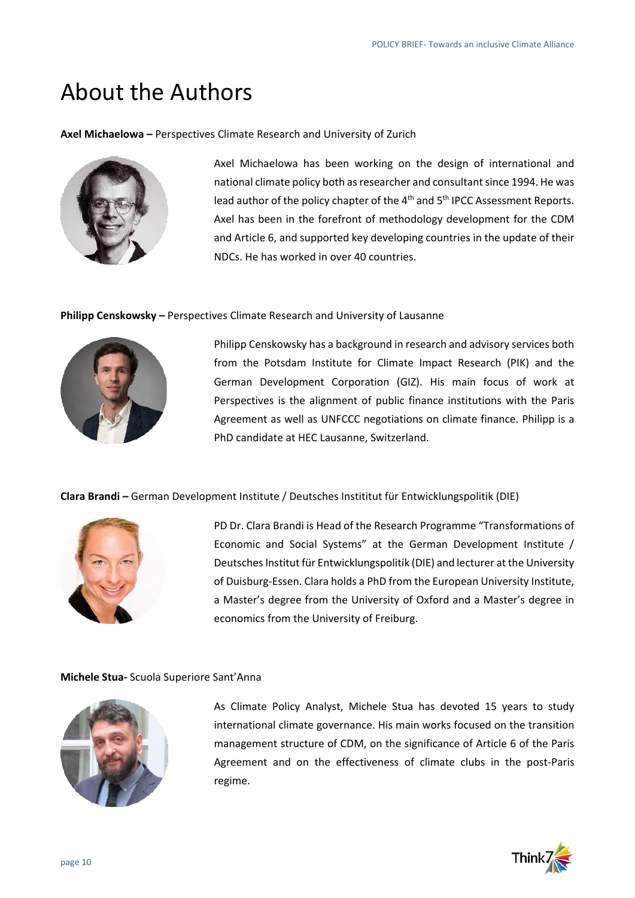## About the Authors

**Axel Michaelowa –** Perspectives Climate Research and University of Zurich



Axel Michaelowa has been working on the design of international and national climate policy both as researcher and consultant since 1994. He was lead author of the policy chapter of the 4<sup>th</sup> and 5<sup>th</sup> IPCC Assessment Reports. Axel has been in the forefront of methodology development for the CDM and Article 6, and supported key developing countries in the update of their NDCs. He has worked in over 40 countries.

### **Philipp Censkowsky –** Perspectives Climate Research and University of Lausanne



Philipp Censkowsky has a background in research and advisory services both from the Potsdam Institute for Climate Impact Research (PIK) and the German Development Corporation (GIZ). His main focus of work at Perspectives is the alignment of public finance institutions with the Paris Agreement as well as UNFCCC negotiations on climate finance. Philipp is a PhD candidate at HEC Lausanne, Switzerland.

**Clara Brandi –** German Development Institute / Deutsches Instititut für Entwicklungspolitik (DIE)



PD Dr. Clara Brandi is Head of the Research Programme "Transformations of Economic and Social Systems" at the German Development Institute / Deutsches Institut für Entwicklungspolitik (DIE) and lecturer at the University of Duisburg-Essen. Clara holds a PhD from the European University Institute, a Master's degree from the University of Oxford and a Master's degree in economics from the University of Freiburg.

### **Michele Stua-** Scuola Superiore Sant'Anna



As Climate Policy Analyst, Michele Stua has devoted 15 years to study international climate governance. His main works focused on the transition management structure of CDM, on the significance of Article 6 of the Paris Agreement and on the effectiveness of climate clubs in the post-Paris regime.

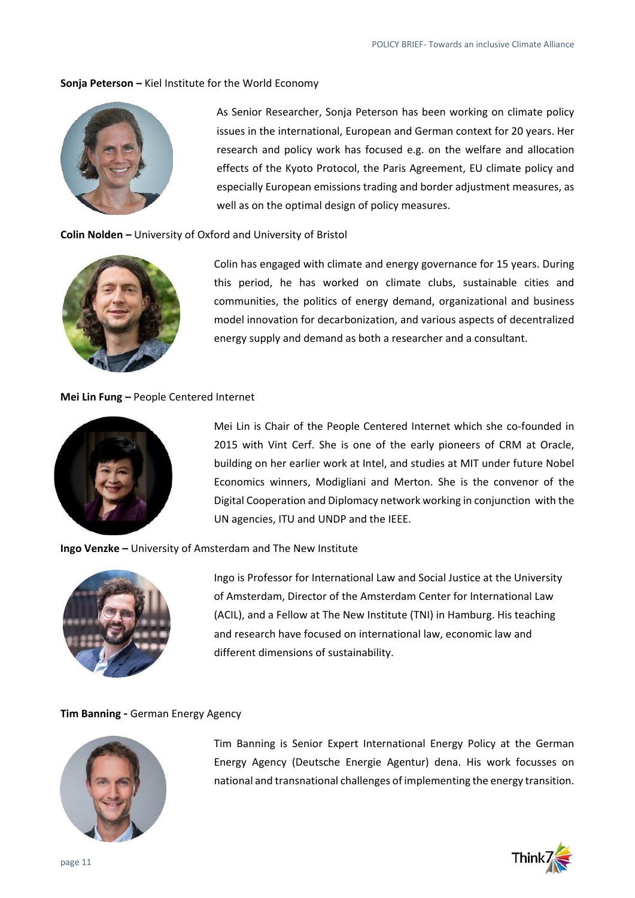### **Sonja Peterson –** Kiel Institute for the World Economy



As Senior Researcher, Sonja Peterson has been working on climate policy issues in the international, European and German context for 20 years. Her research and policy work has focused e.g. on the welfare and allocation effects of the Kyoto Protocol, the Paris Agreement, EU climate policy and especially European emissions trading and border adjustment measures, as well as on the optimal design of policy measures.

#### **Colin Nolden –** University of Oxford and University of Bristol



Colin has engaged with climate and energy governance for 15 years. During this period, he has worked on climate clubs, sustainable cities and communities, the politics of energy demand, organizational and business model innovation for decarbonization, and various aspects of decentralized energy supply and demand as both a researcher and a consultant.

#### **Mei Lin Fung –** People Centered Internet



Mei Lin is Chair of the People Centered Internet which she co-founded in 2015 with Vint Cerf. She is one of the early pioneers of CRM at Oracle, building on her earlier work at Intel, and studies at MIT under future Nobel Economics winners, Modigliani and Merton. She is the convenor of the Digital Cooperation and Diplomacy network working in conjunction with the UN agencies, ITU and UNDP and the IEEE.

### **Ingo Venzke –** University of Amsterdam and The New Institute



Ingo is Professor for International Law and Social Justice at the University of Amsterdam, Director of the Amsterdam Center for International Law (ACIL), and a Fellow at The New Institute (TNI) in Hamburg. His teaching and research have focused on international law, economic law and different dimensions of sustainability.

#### **Tim Banning -** German Energy Agency



Tim Banning is Senior Expert International Energy Policy at the German Energy Agency (Deutsche Energie Agentur) dena. His work focusses on national and transnational challenges of implementing the energy transition.